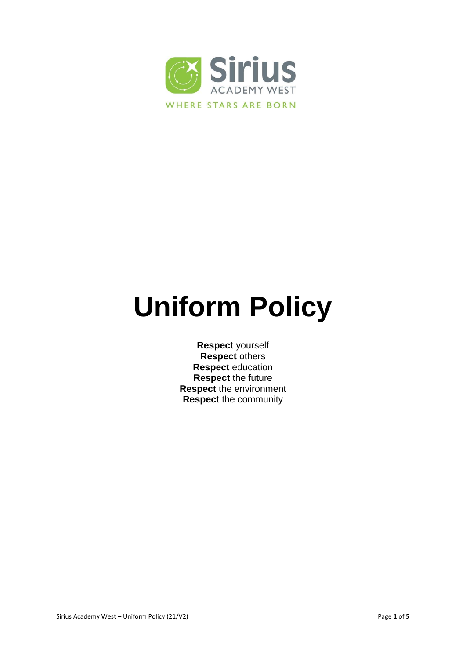

# **Uniform Policy**

**Respect** yourself **Respect** others **Respect** education **Respect** the future **Respect** the environment **Respect** the community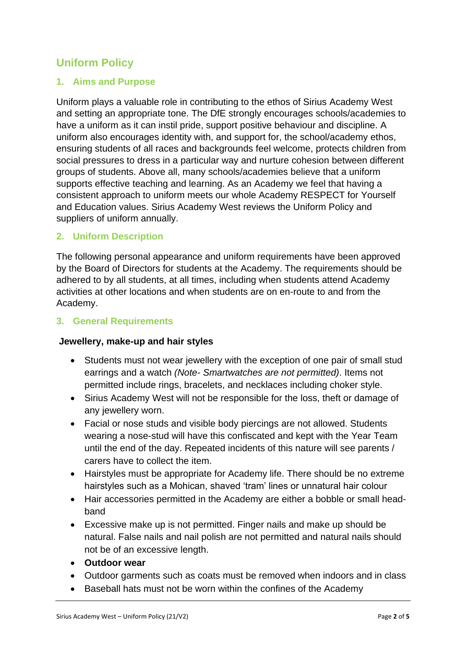# **Uniform Policy**

#### **1. Aims and Purpose**

Uniform plays a valuable role in contributing to the ethos of Sirius Academy West and setting an appropriate tone. The DfE strongly encourages schools/academies to have a uniform as it can instil pride, support positive behaviour and discipline. A uniform also encourages identity with, and support for, the school/academy ethos, ensuring students of all races and backgrounds feel welcome, protects children from social pressures to dress in a particular way and nurture cohesion between different groups of students. Above all, many schools/academies believe that a uniform supports effective teaching and learning. As an Academy we feel that having a consistent approach to uniform meets our whole Academy RESPECT for Yourself and Education values. Sirius Academy West reviews the Uniform Policy and suppliers of uniform annually.

#### **2. Uniform Description**

The following personal appearance and uniform requirements have been approved by the Board of Directors for students at the Academy. The requirements should be adhered to by all students, at all times, including when students attend Academy activities at other locations and when students are on en-route to and from the Academy.

#### **3. General Requirements**

#### **Jewellery, make-up and hair styles**

- Students must not wear jewellery with the exception of one pair of small stud earrings and a watch *(Note- Smartwatches are not permitted)*. Items not permitted include rings, bracelets, and necklaces including choker style.
- Sirius Academy West will not be responsible for the loss, theft or damage of any jewellery worn.
- Facial or nose studs and visible body piercings are not allowed. Students wearing a nose-stud will have this confiscated and kept with the Year Team until the end of the day. Repeated incidents of this nature will see parents / carers have to collect the item.
- Hairstyles must be appropriate for Academy life. There should be no extreme hairstyles such as a Mohican, shaved 'tram' lines or unnatural hair colour
- Hair accessories permitted in the Academy are either a bobble or small headband
- Excessive make up is not permitted. Finger nails and make up should be natural. False nails and nail polish are not permitted and natural nails should not be of an excessive length.
- **Outdoor wear**
- Outdoor garments such as coats must be removed when indoors and in class
- Baseball hats must not be worn within the confines of the Academy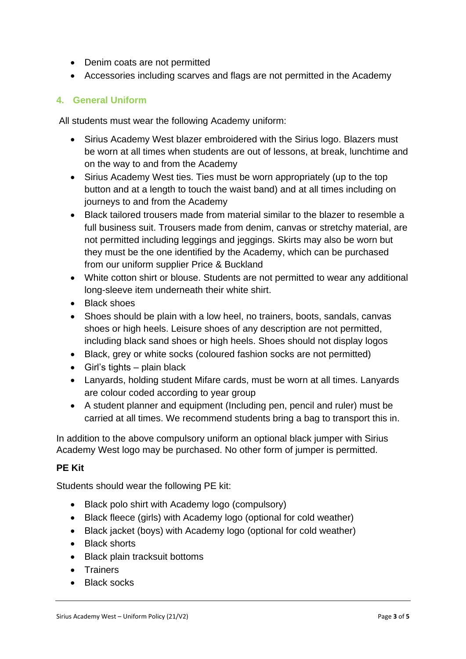- Denim coats are not permitted
- Accessories including scarves and flags are not permitted in the Academy

#### **4. General Uniform**

All students must wear the following Academy uniform:

- Sirius Academy West blazer embroidered with the Sirius logo. Blazers must be worn at all times when students are out of lessons, at break, lunchtime and on the way to and from the Academy
- Sirius Academy West ties. Ties must be worn appropriately (up to the top button and at a length to touch the waist band) and at all times including on journeys to and from the Academy
- Black tailored trousers made from material similar to the blazer to resemble a full business suit. Trousers made from denim, canvas or stretchy material, are not permitted including leggings and jeggings. Skirts may also be worn but they must be the one identified by the Academy, which can be purchased from our uniform supplier Price & Buckland
- White cotton shirt or blouse. Students are not permitted to wear any additional long-sleeve item underneath their white shirt.
- Black shoes
- Shoes should be plain with a low heel, no trainers, boots, sandals, canvas shoes or high heels. Leisure shoes of any description are not permitted, including black sand shoes or high heels. Shoes should not display logos
- Black, grey or white socks (coloured fashion socks are not permitted)
- $\bullet$  Girl's tights plain black
- Lanyards, holding student Mifare cards, must be worn at all times. Lanyards are colour coded according to year group
- A student planner and equipment (Including pen, pencil and ruler) must be carried at all times. We recommend students bring a bag to transport this in.

In addition to the above compulsory uniform an optional black jumper with Sirius Academy West logo may be purchased. No other form of jumper is permitted.

#### **PE Kit**

Students should wear the following PE kit:

- Black polo shirt with Academy logo (compulsory)
- Black fleece (girls) with Academy logo (optional for cold weather)
- Black jacket (boys) with Academy logo (optional for cold weather)
- Black shorts
- Black plain tracksuit bottoms
- **•** Trainers
- Black socks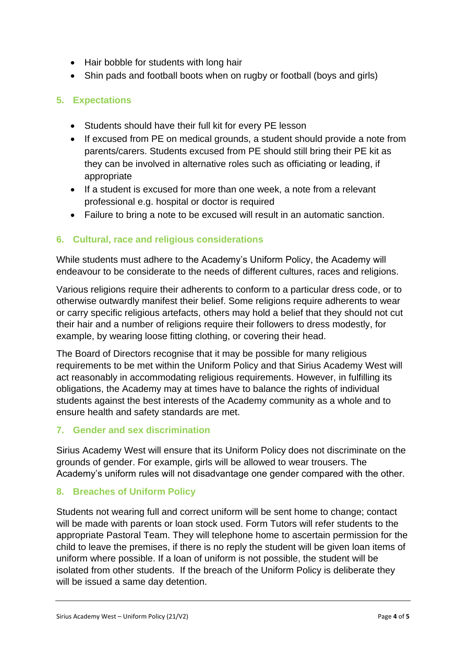- Hair bobble for students with long hair
- Shin pads and football boots when on rugby or football (boys and girls)

## **5. Expectations**

- Students should have their full kit for every PE lesson
- If excused from PE on medical grounds, a student should provide a note from parents/carers. Students excused from PE should still bring their PE kit as they can be involved in alternative roles such as officiating or leading, if appropriate
- If a student is excused for more than one week, a note from a relevant professional e.g. hospital or doctor is required
- Failure to bring a note to be excused will result in an automatic sanction.

### **6. Cultural, race and religious considerations**

While students must adhere to the Academy's Uniform Policy, the Academy will endeavour to be considerate to the needs of different cultures, races and religions.

Various religions require their adherents to conform to a particular dress code, or to otherwise outwardly manifest their belief. Some religions require adherents to wear or carry specific religious artefacts, others may hold a belief that they should not cut their hair and a number of religions require their followers to dress modestly, for example, by wearing loose fitting clothing, or covering their head.

The Board of Directors recognise that it may be possible for many religious requirements to be met within the Uniform Policy and that Sirius Academy West will act reasonably in accommodating religious requirements. However, in fulfilling its obligations, the Academy may at times have to balance the rights of individual students against the best interests of the Academy community as a whole and to ensure health and safety standards are met.

### **7. Gender and sex discrimination**

Sirius Academy West will ensure that its Uniform Policy does not discriminate on the grounds of gender. For example, girls will be allowed to wear trousers. The Academy's uniform rules will not disadvantage one gender compared with the other.

### **8. Breaches of Uniform Policy**

Students not wearing full and correct uniform will be sent home to change; contact will be made with parents or loan stock used. Form Tutors will refer students to the appropriate Pastoral Team. They will telephone home to ascertain permission for the child to leave the premises, if there is no reply the student will be given loan items of uniform where possible. If a loan of uniform is not possible, the student will be isolated from other students. If the breach of the Uniform Policy is deliberate they will be issued a same day detention.